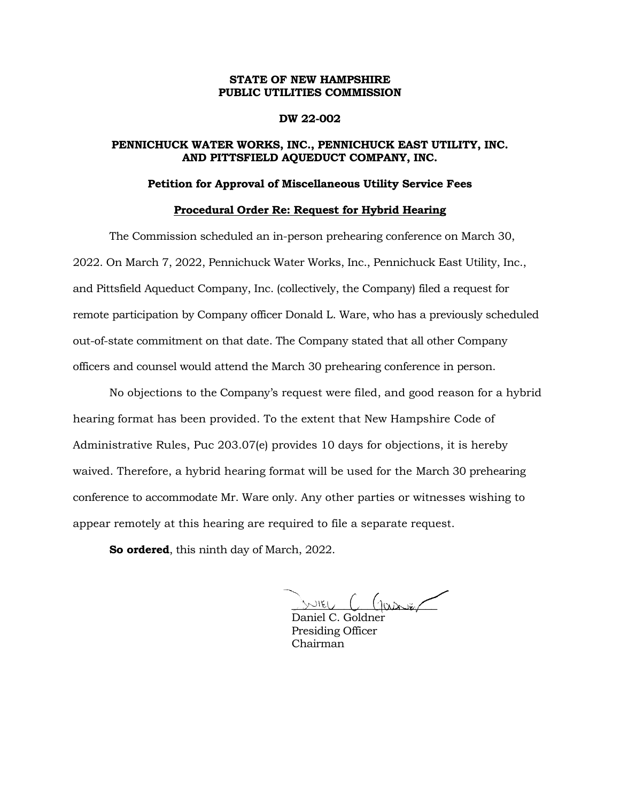## **STATE OF NEW HAMPSHIRE PUBLIC UTILITIES COMMISSION**

### **DW 22-002**

## **PENNICHUCK WATER WORKS, INC., PENNICHUCK EAST UTILITY, INC. AND PITTSFIELD AQUEDUCT COMPANY, INC.**

## **Petition for Approval of Miscellaneous Utility Service Fees**

#### **Procedural Order Re: Request for Hybrid Hearing**

The Commission scheduled an in-person prehearing conference on March 30, 2022. On March 7, 2022, Pennichuck Water Works, Inc., Pennichuck East Utility, Inc., and Pittsfield Aqueduct Company, Inc. (collectively, the Company) filed a request for remote participation by Company officer Donald L. Ware, who has a previously scheduled out-of-state commitment on that date. The Company stated that all other Company officers and counsel would attend the March 30 prehearing conference in person.

No objections to the Company's request were filed, and good reason for a hybrid hearing format has been provided. To the extent that New Hampshire Code of Administrative Rules, Puc 203.07(e) provides 10 days for objections, it is hereby waived. Therefore, a hybrid hearing format will be used for the March 30 prehearing conference to accommodate Mr. Ware only. Any other parties or witnesses wishing to appear remotely at this hearing are required to file a separate request.

**So ordered**, this ninth day of March, 2022.

 $m_{\text{EU}}$  (fase)

Daniel C. Goldner Presiding Officer Chairman